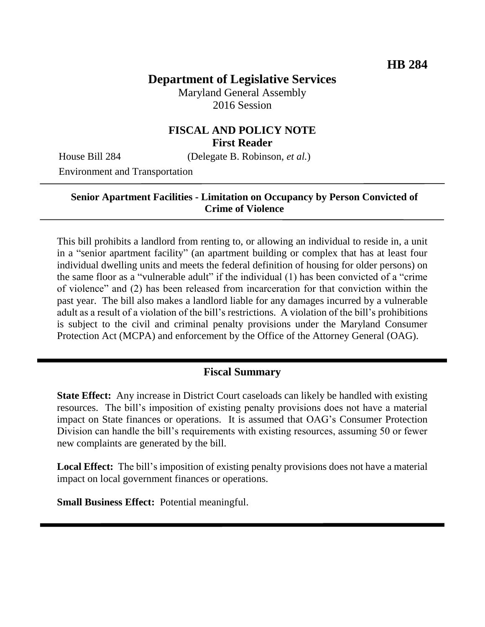# **Department of Legislative Services**

Maryland General Assembly 2016 Session

### **FISCAL AND POLICY NOTE First Reader**

House Bill 284 (Delegate B. Robinson, *et al.*)

Environment and Transportation

#### **Senior Apartment Facilities - Limitation on Occupancy by Person Convicted of Crime of Violence**

This bill prohibits a landlord from renting to, or allowing an individual to reside in, a unit in a "senior apartment facility" (an apartment building or complex that has at least four individual dwelling units and meets the federal definition of housing for older persons) on the same floor as a "vulnerable adult" if the individual (1) has been convicted of a "crime of violence" and (2) has been released from incarceration for that conviction within the past year. The bill also makes a landlord liable for any damages incurred by a vulnerable adult as a result of a violation of the bill's restrictions. A violation of the bill's prohibitions is subject to the civil and criminal penalty provisions under the Maryland Consumer Protection Act (MCPA) and enforcement by the Office of the Attorney General (OAG).

### **Fiscal Summary**

**State Effect:** Any increase in District Court caseloads can likely be handled with existing resources. The bill's imposition of existing penalty provisions does not have a material impact on State finances or operations. It is assumed that OAG's Consumer Protection Division can handle the bill's requirements with existing resources, assuming 50 or fewer new complaints are generated by the bill.

**Local Effect:** The bill's imposition of existing penalty provisions does not have a material impact on local government finances or operations.

**Small Business Effect:** Potential meaningful.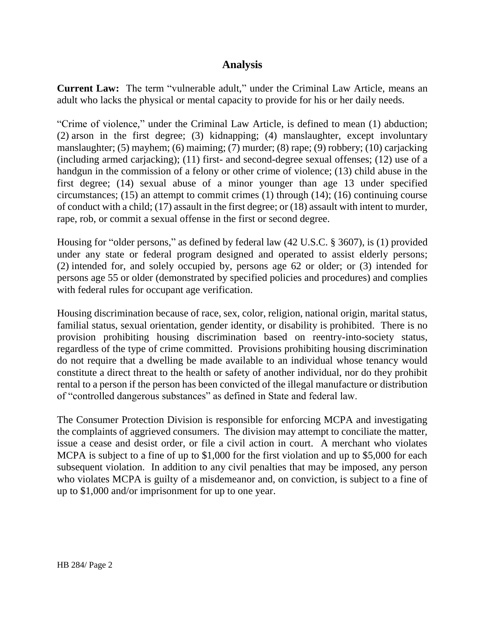### **Analysis**

**Current Law:** The term "vulnerable adult," under the Criminal Law Article, means an adult who lacks the physical or mental capacity to provide for his or her daily needs.

"Crime of violence," under the Criminal Law Article, is defined to mean (1) abduction; (2) arson in the first degree; (3) kidnapping; (4) manslaughter, except involuntary manslaughter; (5) mayhem; (6) maiming; (7) murder; (8) rape; (9) robbery; (10) carjacking (including armed carjacking); (11) first- and second-degree sexual offenses; (12) use of a handgun in the commission of a felony or other crime of violence; (13) child abuse in the first degree; (14) sexual abuse of a minor younger than age 13 under specified circumstances; (15) an attempt to commit crimes (1) through (14); (16) continuing course of conduct with a child; (17) assault in the first degree; or (18) assault with intent to murder, rape, rob, or commit a sexual offense in the first or second degree.

Housing for "older persons," as defined by federal law (42 U.S.C. § 3607), is (1) provided under any state or federal program designed and operated to assist elderly persons; (2) intended for, and solely occupied by, persons age 62 or older; or (3) intended for persons age 55 or older (demonstrated by specified policies and procedures) and complies with federal rules for occupant age verification.

Housing discrimination because of race, sex, color, religion, national origin, marital status, familial status, sexual orientation, gender identity, or disability is prohibited. There is no provision prohibiting housing discrimination based on reentry-into-society status, regardless of the type of crime committed. Provisions prohibiting housing discrimination do not require that a dwelling be made available to an individual whose tenancy would constitute a direct threat to the health or safety of another individual, nor do they prohibit rental to a person if the person has been convicted of the illegal manufacture or distribution of "controlled dangerous substances" as defined in State and federal law.

The Consumer Protection Division is responsible for enforcing MCPA and investigating the complaints of aggrieved consumers. The division may attempt to conciliate the matter, issue a cease and desist order, or file a civil action in court. A merchant who violates MCPA is subject to a fine of up to \$1,000 for the first violation and up to \$5,000 for each subsequent violation. In addition to any civil penalties that may be imposed, any person who violates MCPA is guilty of a misdemeanor and, on conviction, is subject to a fine of up to \$1,000 and/or imprisonment for up to one year.